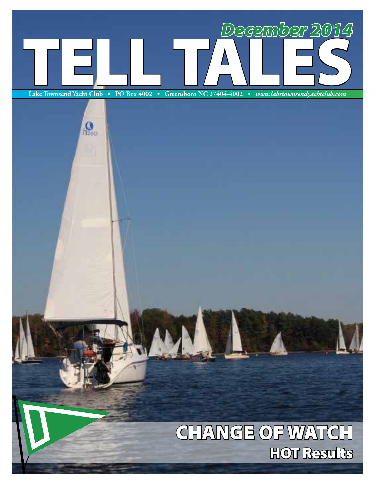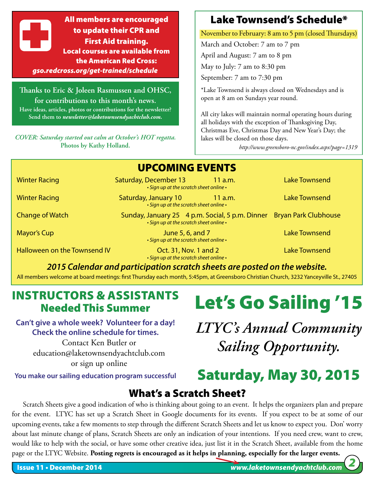All members are encouraged to update their CPR and First Aid training. Local courses are available from the American Red Cross: *gso.redcross.org/get-trained/schedule*

**Thanks to Eric & Joleen Rasmussen and OHSC, for contributions to this month's news. Have ideas, articles, photos or contributions for the newsletter? Send them to** *newsletter@laketownsendyachtclub.com.*

*COVER: Saturday started out calm at October's HOT regatta.*  **Photos by Kathy Holland.**

#### Lake Townsend's Schedule\*

November to February: 8 am to 5 pm (closed Thursdays)

March and October: 7 am to 7 pm April and August: 7 am to 8 pm May to July: 7 am to 8:30 pm

September: 7 am to 7:30 pm

\*Lake Townsend is always closed on Wednesdays and is open at 8 am on Sundays year round.

All city lakes will maintain normal operating hours during all holidays with the exception of Thanksgiving Day, Christmas Eve, Christmas Day and New Year's Day; the lakes will be closed on those days.

*http://www.greensboro-nc.gov/index.aspx?page=1319*

|                              |                       | <b>UPCOMING EVENTS</b>                                                                                          |                      |
|------------------------------|-----------------------|-----------------------------------------------------------------------------------------------------------------|----------------------|
| <b>Winter Racing</b>         | Saturday, December 13 | 11 a.m.<br>• Sign up at the scratch sheet online •                                                              | <b>Lake Townsend</b> |
| <b>Winter Racing</b>         | Saturday, January 10  | $11$ a.m.<br>• Sign up at the scratch sheet online •                                                            | <b>Lake Townsend</b> |
| <b>Change of Watch</b>       |                       | Sunday, January 25 4 p.m. Social, 5 p.m. Dinner Bryan Park Clubhouse<br>• Sign up at the scratch sheet online • |                      |
| Mayor's Cup                  |                       | June 5, 6, and 7<br>• Sign up at the scratch sheet online •                                                     | <b>Lake Townsend</b> |
| Halloween on the Townsend IV |                       | Oct. 31, Nov. 1 and 2<br>• Sign up at the scratch sheet online •                                                | <b>Lake Townsend</b> |
|                              |                       |                                                                                                                 |                      |

*2015 Calendar and participation scratch sheets are posted on the website.*

All members welcome at board meetings: first Thursday each month, 5:45pm, at Greensboro Christian Church, 3232 Yanceyville St., 27405

#### INSTRUCTORS & ASSISTANTS Needed This Summer

**Can't give a whole week? Volunteer for a day! Check the online schedule for times.**

> Contact Ken Butler or education@laketownsendyachtclub.com or sign up online

**You make our sailing education program successful**

## Let's Go Sailing '15

*LTYC's Annual Community Sailing Opportunity.* 

## Saturday, May 30, 2015

#### What's a Scratch Sheet?

Scratch Sheets give a good indication of who is thinking about going to an event. It helps the organizers plan and prepare for the event. LTYC has set up a Scratch Sheet in Google documents for its events. If you expect to be at some of our upcoming events, take a few moments to step through the different Scratch Sheets and let us know to expect you. Don' worry about last minute change of plans, Scratch Sheets are only an indication of your intentions. If you need crew, want to crew, would like to help with the social, or have some other creative idea, just list it in the Scratch Sheet, available from the home page or the LTYC Website. **Posting regrets is encouraged as it helps in planning, especially for the larger events.**

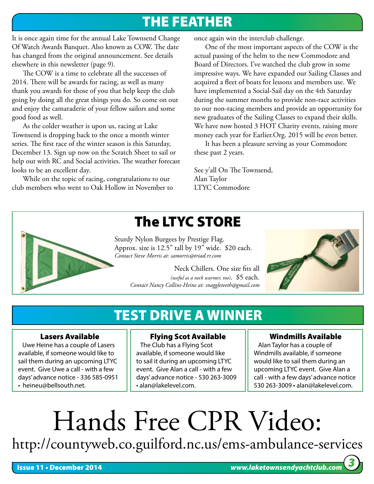## THE FEATHER

It is once again time for the annual Lake Townsend Change Of Watch Awards Banquet. Also known as COW. The date has changed from the original announcement. See details elsewhere in this newsletter (page 9).

The COW is a time to celebrate all the successes of 2014. There will be awards for racing, as well as many thank you awards for those of you that help keep the club going by doing all the great things you do. So come on out and enjoy the camaraderie of your fellow sailors and some good food as well.

As the colder weather is upon us, racing at Lake Townsend is dropping back to the once a month winter series. The first race of the winter season is this Saturday, December 13. Sign up now on the Scratch Sheet to sail or help out with RC and Social activities. The weather forecast looks to be an excellent day.

While on the topic of racing, congratulations to our club members who went to Oak Hollow in November to once again win the interclub challenge.

One of the most important aspects of the COW is the actual passing of the helm to the new Commodore and Board of Directors. I've watched the club grow in some impressive ways. We have expanded our Sailing Classes and acquired a fleet of boats for lessons and members use. We have implemented a Social-Sail day on the 4th Saturday during the summer months to provide non-race activities to our non-racing members and provide an opportunity for new graduates of the Sailing Classes to expand their skills. We have now hosted 3 HOT Charity events, raising more money each year for Earlier.Org. 2015 will be even better.

It has been a pleasure serving as your Commodore these past 2 years.

See y'all On The Townsend, Alan Taylor LTYC Commodore



## The LTYC STORE

Sturdy Nylon Burgees by Prestige Flag. Approx. size is 12.5" tall by 19" wide. \$20 each. *Contact Steve Morris at: samorris@triad.rr.com*

> Neck Chillers. One size fits all *(useful as a neck warmer, too)*. \$5 each. *Contact Nancy Collins-Heine at: snaggleteeth@gmail.com*



## TEST DRIVE A WINNER

#### Lasers Available

 Uwe Heine has a couple of Lasers available, if someone would like to sail them during an upcoming LTYC event. Give Uwe a call - with a few days' advance notice - 336 585-0951 • heineu@bellsouth.net.

#### Flying Scot Available

 The Club has a Flying Scot available, if someone would like to sail it during an upcoming LTYC event. Give Alan a call - with a few days' advance notice - 530 263-3009 • alan@lakelevel.com.

#### Windmills Available

 Alan Taylor has a couple of Windmills available, if someone would like to sail them during an upcoming LTYC event. Give Alan a call - with a few days' advance notice 530 263-3009 • alan@lakelevel.com.

## Hands Free CPR Video: http://countyweb.co.guilford.nc.us/ems-ambulance-services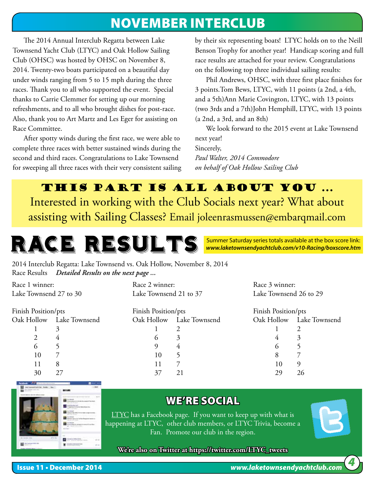### NOVEMBER INTERCLUB

The 2014 Annual Interclub Regatta between Lake Townsend Yacht Club (LTYC) and Oak Hollow Sailing Club (OHSC) was hosted by OHSC on November 8, 2014. Twenty-two boats participated on a beautiful day under winds ranging from 5 to 15 mph during the three races. Thank you to all who supported the event. Special thanks to Carrie Clemmer for setting up our morning refreshments, and to all who brought dishes for post-race. Also, thank you to Art Martz and Les Eger for assisting on Race Committee.

After spotty winds during the first race, we were able to complete three races with better sustained winds during the second and third races. Congratulations to Lake Townsend for sweeping all three races with their very consistent sailing by their six representing boats! LTYC holds on to the Neill Benson Trophy for another year! Handicap scoring and full race results are attached for your review. Congratulations on the following top three individual sailing results:

Phil Andrews, OHSC, with three first place finishes for 3 points.Tom Bews, LTYC, with 11 points (a 2nd, a 4th, and a 5th)Ann Marie Covington, LTYC, with 13 points (two 3rds and a 7th)John Hemphill, LTYC, with 13 points (a 2nd, a 3rd, and an 8th)

We look forward to the 2015 event at Lake Townsend next year! Sincerely, *Paul Walter, 2014 Commodore on behalf of Oak Hollow Sailing Club*

#### This Part is ALL ABOUT you ...

Interested in working with the Club Socials next year? What about assisting with Sailing Classes? Email joleenrasmussen@embarqmail.com

> Summer Saturday series totals available at the box score link: *www.laketownsendyachtclub.com/v10-Racing/boxscore.htm*

2014 Interclub Regatta: Lake Townsend vs. Oak Hollow, November 8, 2014 Race Results *Detailed Results on the next page ...*

RACE RESULTS

Race 1 winner: Lake Townsend 27 to 30 Finish Position/pts Oak Hollow Lake Townsend 1 3 2 4 6 5 10 7 11 8 30 27 Race 2 winner: Lake Townsend 21 to 37 Finish Position/pts Oak Hollow Lake Townsend 1 2 6 3 9 4 10 5 11 7 37 21 Race 3 winner: Lake Townsend 26 to 29 Finish Position/pts Oak Hollow Lake Townsend 1 2 4 3 6 5 8 7 10 9 29 26



#### WE'RE SOCIAL

**LTYC** has a Facebook page. If you want to keep up with what is happening at LTYC, other club members, or LTYC Trivia, become a Fan. Promote our club in the region.

**We're also on Twitter at https://twitter.com/LTYC\_tweets**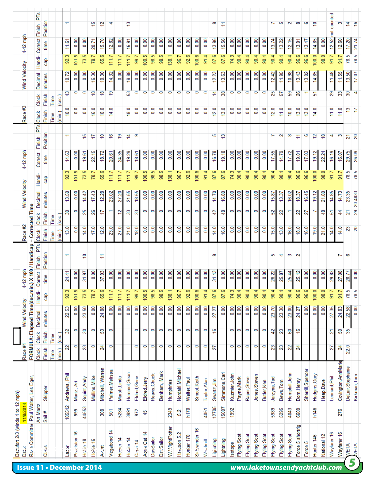|                                  |                       |                                                  | PT <sub>S</sub><br>Finish | Position |      | ᠇                                  |                   |               |           | ۴ē            | 2)               | ₹               |              | £,           |               |                   |                   |                        |                |                   |                   |                   |                   | 9           | Ξ             |                  |                |                |                   |                   | ∼                        | 5              | 2                        | ő                | G                 | 5                     |             | not counted       |  |
|----------------------------------|-----------------------|--------------------------------------------------|---------------------------|----------|------|------------------------------------|-------------------|---------------|-----------|---------------|------------------|-----------------|--------------|--------------|---------------|-------------------|-------------------|------------------------|----------------|-------------------|-------------------|-------------------|-------------------|-------------|---------------|------------------|----------------|----------------|-------------------|-------------------|--------------------------|----------------|--------------------------|------------------|-------------------|-----------------------|-------------|-------------------|--|
|                                  | 4-12 mph              |                                                  | Correct                   | time     |      | 11.61                              | 0.00              | 0.00          |           | 20.71         | 15.70            | 12.82           | 0.00         | 16.91        | 0.00          | 0.00              | 0.00              | 0.00                   | 0.00           | 0.00              | 0.00              | 0.00              | 0.00              | 13.96       | 15.56         | 0.00             | 0.00           | 0.00           | 0.00              | 0.00              | 13.74                    | 13.22          | 12.15                    | 13.91            | 13.47             | 14.85                 | 0.00        | 12.52             |  |
|                                  |                       |                                                  | Handi-                    | Сãр      |      | 92.3                               | 101.5             | 73.5          |           | 78.7          | 65.6             | 111.7           | 1117         | 111.7        | 99.7          | 100.5             | 98.5              | 98.5                   | 138.1          | 96.7              | 92.6              | 100.6             | 91.4              | 87.6        | 87.6          | 74.3             | 90.4           | 90.4           | 90.4              | 90.4              | 90.4                     | 90.4           | 90.4                     | 96.6             | 96.6              | 100.0                 | 98.0        | 91.7              |  |
|                                  | <b>Wind Velocity</b>  |                                                  | Decimal                   | minutes  |      | 10.72                              | 0.00              | $\frac{8}{2}$ |           | 16.30         | 10.30            | 14.32           | 0.00         | 18.88        | 0.00          | 0.00              | 0.00              | 0.00                   | 0.00           | 0.00              | 0.00              | 0.00              | 0.00              | 12.23       | 13.63         | 0.00             | 0.00           | 0.00           | 0.00              | 0.00              | 12.42                    | 11.95          | 10.98                    | 13.43            | 13.02             | 14.85                 |             | 11.48             |  |
|                                  |                       |                                                  | Clock                     | Finish   | Time | ន<br>(sec.)                        | $\circ$           | $\circ$       |           | ₽             | ₽                | ę۶              |              | ន            | $\circ$       | $\circ$           | $\circ$           | 0                      | O              | $\circ$           | $\circ$           | 0                 | 0                 | 4           | 38            | $\circ$          | $\circ$        | 0              | $\circ$           | $\circ$           | 25                       | 57             | 59                       | $\frac{8}{2}$    | ٣                 | 5                     |             | 29                |  |
|                                  | Race #3               |                                                  | Clock                     | Finish   | Time | 0.0<br>(min.)                      | $\frac{0}{2}$     | $\frac{0}{2}$ |           | 16.0          | 10.0             | 14.0            |              | 18.0         | $\frac{0}{2}$ | ٥<br>ö            | $\frac{0}{2}$     | $\frac{0}{2}$          | $\overline{0}$ | $\overline{0}$    | $\frac{0}{2}$     | $\frac{0}{2}$     | $\overline{0}$    | 12.0        | 13.0          | $\overline{0.0}$ | $\overline{0}$ | $\frac{0}{2}$  | $\overline{0}$ .0 | $\overline{0.0}$  | 12.0                     | $\frac{0}{11}$ | 10.0                     | 13.0             | 13.0              | 14.0                  |             | $\frac{110}{110}$ |  |
|                                  |                       |                                                  | Finish PTs                | Position |      | $\overline{\phantom{0}}$           |                   | چ             |           | 17            | ₽                | ؋               | ۾            | ≠            | 9             |                   |                   |                        |                |                   |                   |                   |                   | 5           | ఞ             |                  |                |                |                   |                   | $\overline{\phantom{0}}$ | $\sim$         | ő                        | 1.               | မ                 | 5                     | ₽           | ෑ                 |  |
|                                  | 4-12 mph              |                                                  | Correct                   | time     |      | 14.63                              | 0.00              | 19.61         |           | 22.15         | 18.72            | 20.61           | 24.35        | 19.29        | 18.61         | 0.00              | 0.00              | 0.00                   | 0.00           | 0.00              | 0.00              | 0.00              | 0.00              | 16.78       | 19.18         | 0.00             | 0.00           | 0.00           | 0.00              | 0.00              | 55<br>Ħ.                 | 14.79          | 17.72                    | 19.01            | 17.03             | 19.12                 | 22.24       | 16.19             |  |
|                                  |                       |                                                  | Handi-                    | Gap      |      | 92.3                               | 101.5             | 73.5          |           | 78.7          | 65.6             | 111.7           | 111.7        | 111.7        | 99.7          | 100.5             | 98.5              | 98.5                   | 138.1          | 96.7              | 92.6              | 100.6             | 91.4              | 87.6        | 87.6          | 74.3             | 90.4           | 90.4           | 90.4              | 90.4              | 90.4                     | 90.4           | 90.4                     | 96.6             | 96.6              | 100.0                 | 98.0        | 91.7              |  |
|                                  | <b>Wind Velocity</b>  |                                                  | Decimal                   | minutes  |      | S,<br>ಥ                            | 0.00              | ञ्<br>4,      |           | ą<br>H.       | 12.28            | 23.02           | 27.20        | 21.55        | ಜ್ಜಿ<br>₽     | 0.00              | 0.00              | 0.00                   | 0.00           | 0.00              | 0.00              | 0.00              | 0.00              | 14.70       | 16.80         | 0.00             | 0.00           | 0.00           | 0.00              | 0.00              | 15.87                    | 13.37          | 16.02                    | 18.37            | 16.45             | 19.12                 | 21.80       | 14.85             |  |
|                                  |                       |                                                  | Clock                     | Finish   | Time | 30<br>(sec.)                       | O                 | న             |           | 26            | 7                | ٣               | 5,           | 33           | g             | 0                 | O                 | $\circ$                | O              | O                 | $\circ$           | $\circ$           | O                 | 42          | \$            | $\circ$          | $\circ$        | O              | 0                 | $\circ$           | S                        | 22             | $\overline{\phantom{0}}$ | 22               | 27                | ∼                     | ₩           | 5                 |  |
|                                  | Race #2               | = Corrected Time                                 | Clock                     | Finish   | Time | Q<br>$\widehat{\mathsf{min}}$<br>ದ | $\overline{0}$ .0 | 14.0          |           | 17.0          | 12.0             | 23.0            | 27.0         | 21.0         | 18.0          | $\overline{0}$ .0 | $\overline{0}$ .0 | $\overline{0}$         | 0.0            | $\overline{0}$ .0 | $\overline{0}$ .0 | $\overline{0}$ .0 | $\overline{0}$ .0 | 14.0        | 16.0          | 0.0              | 0.0            | $\overline{0}$ | $\overline{0}$    | $\overline{0}$ .0 | Q<br>فيا                 | 13.0           | 16.0                     | 18.0             | 16.0              | 19.0                  | 21.0        | 14.0              |  |
|                                  |                       |                                                  | PTs                       |          |      | $\overline{\phantom{0}}$           |                   | ₽             |           |               | Ξ                |                 |              |              |               |                   |                   |                        |                |                   |                   |                   |                   | 9           |               |                  |                |                |                   |                   | ю                        | ෑ              | 3                        | 2                |                   |                       |             |                   |  |
|                                  |                       |                                                  | Correct Finish            | Position |      |                                    |                   |               |           |               |                  |                 |              |              |               |                   |                   |                        |                |                   |                   | 0.00              | 0.00              |             |               |                  |                | 0.00           |                   |                   |                          |                |                          |                  |                   | 0.00                  | 0.00        |                   |  |
|                                  | $12 \text{ mph}$<br>4 |                                                  |                           | time     |      | 24.41                              | 0.00              | 31.97         |           | 0.00          | 37.93            | 0.00            | 0.00         | 0.00         | 0.00          | 0.00              | 0.00              | 0.00                   | 0.00           | 0.00              | 0.00              |                   |                   | 31.13       | 0.00          | 0.00             | 0.00           |                | 0.00              | 0.00              | 26.22                    | 25.87          | 25.44                    | 25.12            | 0.00              |                       |             | 29.83             |  |
|                                  |                       |                                                  | Handi-                    | Gap      |      | 92.3                               | 101.5             | 73.5          |           | 78.7          | 65.6             | 111.7           | 111.7        | 111.7        | 99.7          | 100.5             | 98.5              | 98.5                   | 138.1          | 96.7              | 92.6              | 100.6             | 91.4              | 87.6        | 87.6          | 74.3             | 90.4           | 90.4           | 90.4              | 90.4              | 90.4                     | 90.4           | 90.4                     | 96.6             | 96.6              | 100.0                 | 98.0        | 91.7              |  |
|                                  | <b>Wind Velocity</b>  | FORMULA: Elapsed Time(dec.min.) X 100 / Handicap | Decimal                   | minutes  |      | 22.53                              | 0.00              | S,<br>ಔ       |           | 0.00          | 24.88            | 0.00            | 0.00         | 0.00         | 0.00          | 0.00              | 0.00              | 0.00                   | 0.00           | 0.00              | 0.00              | 0.00              | 0.00              | 27.27       | 0.00          | 0.00             | 0.00           | 0.00           | 0.00              | 0.00              | 23.70                    | 23.38          | 23.00                    | 24.27            | 0.00              | 0.00                  | 0.00        | 27.35             |  |
|                                  |                       |                                                  | Clock                     | Finish   | Time | R<br>(sec.)                        | $\circ$           | 30            |           | O             | S                | 0               |              |              | O             | O                 | O                 | O                      | O              | 0                 | $\circ$           | $\bullet$         | 0                 | ؋           |               | $\circ$          | $\bullet$      | 0              | 0                 | $\circ$           | 42                       | 23             | 60                       | ې                |                   |                       |             | $\overline{21}$   |  |
|                                  | Race #1               |                                                  | Clock                     | Finish   | Time | 22<br>(min.)                       | $\circ$           | 23            |           | O             | 24               | O               |              |              | 0             | O                 | O                 | O                      | 0              | O                 | 0                 | 0                 | 0                 | 27          |               | $\circ$          | O              | O              | 0                 | $\circ$           | 23                       | 23             | 22                       | 24               |                   |                       |             | 27                |  |
|                                  |                       |                                                  |                           |          |      | Andrews, Phil                      |                   | Squint, Andy  |           | Mullins, Mike | Mitchell, Warren | Palmer, Melissa | Marsh, Linda | Hommel, Sean | Eldred, Gene  | Eldred, Jerry     | Reavis, Chuck     | Benham, Mark           | Humphries      | Nordahl, Michael  | Walter, Paul      | Smoot, Keith      | Taylor, Alan      | Swartz, Jim | Simmons, Carl | Kuzmier, John    | Payne, Mark    | Raper, Steve   | Jones, Steven     | Butler, Ken       | Jarzyna,Tad              | Bews, Tom      | Hemphill, John           | Dorn, Henry      | Sherrill, Spencer | Hudgins, Gary         | Heap, Dave  | Leonard, Phil     |  |
|                                  |                       |                                                  |                           | Skipper  |      |                                    | Martz, Art        |               |           |               |                  |                 |              |              |               |                   |                   |                        |                |                   |                   |                   |                   |             |               |                  |                |                |                   |                   |                          |                |                          |                  |                   |                       |             |                   |  |
|                                  | 11/8/2014             |                                                  | Art Martz                 | Sail#    |      | 185542                             | 999               | 44553         |           |               | 308              | 501             | 5284         | 3991         | 972           | 45                |                   |                        | 2349           | 52                | h170              |                   | 4051              | 12705       | 15097         | 1992             |                |                |                   |                   | 5989                     | 5295           | 4043                     | 6609             |                   | h146                  |             |                   |  |
| Becufort 2/3 (winds 4 to 12 mph) | Date:                 | Rane Committee Paul Walter, Les Eger             |                           | Class    |      | <b>Icas1</b>                       | Precision 16      |               | Hotile 18 | Howe 16       | A-Cat            | Vagabond 14     | Hotter 14    | Holder 14    | Cajri 14      | Aqua Cat 14       | DaySailor         | Da <sub>v</sub> Sailor | W.WightPotter  | Hai Joon 5.2      | Hunter 170        | Siccwinder 16     | Wi-dmill          | Lighining   | Lightning     | <b>Isotope</b>   | Flying Scot    | Flying Scot    | Flying Scot       | Flying Scot       | Flying Scot              | Flying Scot    | Flying Scot              | Force 5 shortrig | Force 5           | Hunter <sub>146</sub> | National 12 | Wayfarer 16       |  |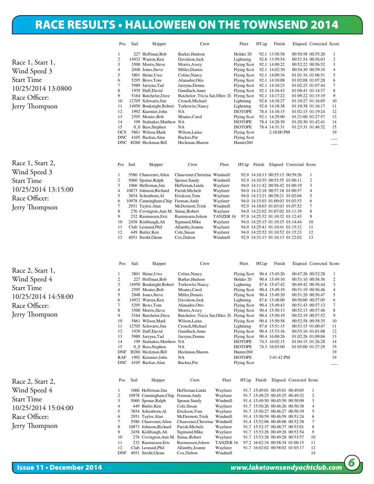#### RACE RESULTS • HALLOWEEN ON THE TOWNSEND 2014 Start Time: Saturday, October 25, 2014 13:08:00

|                                                                                                                 | Pos                                                                                                                                        | Sail | Skipper                                                                                                                                                                                                                                                                                                                                                                                                        | Crew                                                                                                                                                                                                                                                                                                                      |                      | Fleet                                                                                                                                                                                                                                                                                                                                              | H'Cap  | Finish                                                                                                                                                                                                                                                                              |                                                                                                                                                                                                                                                                                                                         | Elapsed Corrected Score |                                                                                                |
|-----------------------------------------------------------------------------------------------------------------|--------------------------------------------------------------------------------------------------------------------------------------------|------|----------------------------------------------------------------------------------------------------------------------------------------------------------------------------------------------------------------------------------------------------------------------------------------------------------------------------------------------------------------------------------------------------------------|---------------------------------------------------------------------------------------------------------------------------------------------------------------------------------------------------------------------------------------------------------------------------------------------------------------------------|----------------------|----------------------------------------------------------------------------------------------------------------------------------------------------------------------------------------------------------------------------------------------------------------------------------------------------------------------------------------------------|--------|-------------------------------------------------------------------------------------------------------------------------------------------------------------------------------------------------------------------------------------------------------------------------------------|-------------------------------------------------------------------------------------------------------------------------------------------------------------------------------------------------------------------------------------------------------------------------------------------------------------------------|-------------------------|------------------------------------------------------------------------------------------------|
|                                                                                                                 | 1                                                                                                                                          |      | 227 Hoffman, Bob                                                                                                                                                                                                                                                                                                                                                                                               | Barker, Hudson                                                                                                                                                                                                                                                                                                            |                      | Holder <sub>20</sub>                                                                                                                                                                                                                                                                                                                               |        | 92.1 13:58:58                                                                                                                                                                                                                                                                       | 00:50:58 00:55:20                                                                                                                                                                                                                                                                                                       |                         | 1                                                                                              |
|                                                                                                                 | $\overline{c}$                                                                                                                             |      | 14932 Warren, Ken                                                                                                                                                                                                                                                                                                                                                                                              | Davidson, Jack                                                                                                                                                                                                                                                                                                            |                      | Lightning                                                                                                                                                                                                                                                                                                                                          |        | 92.6 13:59:54                                                                                                                                                                                                                                                                       | 00:51:54 00:56:03                                                                                                                                                                                                                                                                                                       |                         | $\boldsymbol{2}$                                                                               |
| Race 1, Start 1,                                                                                                | 3                                                                                                                                          |      | 3500 Morris, Steve                                                                                                                                                                                                                                                                                                                                                                                             | Morris, Avery                                                                                                                                                                                                                                                                                                             |                      | <b>Flying Scot</b>                                                                                                                                                                                                                                                                                                                                 |        | 92.1 14:00:22                                                                                                                                                                                                                                                                       | 00:52:22 00:56:52                                                                                                                                                                                                                                                                                                       |                         | 3                                                                                              |
| Wind Speed 3                                                                                                    | $\overline{4}$<br>5                                                                                                                        |      | 2048 Jones, Steve<br>3801 Heine, Uwe                                                                                                                                                                                                                                                                                                                                                                           | Miller, Dennis<br>Colins, Nancy                                                                                                                                                                                                                                                                                           |                      | <b>Flying Scot</b><br><b>Flying Scot</b>                                                                                                                                                                                                                                                                                                           |        | 92.1 14:02:30<br>92.1 14:09:34                                                                                                                                                                                                                                                      | 00:54:30 00:59:10<br>01:01:34 01:06:51                                                                                                                                                                                                                                                                                  |                         | 4<br>5                                                                                         |
| <b>Start Time</b>                                                                                               | 6                                                                                                                                          |      | 5295 Bews, Tom                                                                                                                                                                                                                                                                                                                                                                                                 | Afanador, Otto                                                                                                                                                                                                                                                                                                            |                      | <b>Flying Scot</b>                                                                                                                                                                                                                                                                                                                                 |        | 92.1 14:10:08                                                                                                                                                                                                                                                                       | 01:02:08 01:07:28                                                                                                                                                                                                                                                                                                       |                         | 6                                                                                              |
| 10/25/2014 13:0800                                                                                              | $\tau$                                                                                                                                     |      | 5989 Jarzyna, Tad                                                                                                                                                                                                                                                                                                                                                                                              | Jarzyna, Donna                                                                                                                                                                                                                                                                                                            |                      | <b>Flying Scot</b>                                                                                                                                                                                                                                                                                                                                 |        | 92.1 14:10:23                                                                                                                                                                                                                                                                       | 01:02:23 01:07:44                                                                                                                                                                                                                                                                                                       |                         | 7                                                                                              |
|                                                                                                                 | 8<br>9                                                                                                                                     |      | 1939 Duff, David<br>5164 Batchelor, Dave                                                                                                                                                                                                                                                                                                                                                                       | Gundlach, Anne<br>Batchelor; Tricia Sat, Oller; D.                                                                                                                                                                                                                                                                        |                      | <b>Flying Scot</b><br><b>Flying Scot</b>                                                                                                                                                                                                                                                                                                           |        | 92.1 14:16:43<br>92.1 14:17:22                                                                                                                                                                                                                                                      | 01:08:43 01:14:37<br>01:09:22 01:15:19                                                                                                                                                                                                                                                                                  |                         | 8<br>9                                                                                         |
| Race Officer:                                                                                                   | 10                                                                                                                                         |      | 12705 Schwartz, Jim                                                                                                                                                                                                                                                                                                                                                                                            | Crouch, Michael                                                                                                                                                                                                                                                                                                           |                      | Lightning                                                                                                                                                                                                                                                                                                                                          |        | 92.6 14:18:27                                                                                                                                                                                                                                                                       | 01:10:27 01:16:05                                                                                                                                                                                                                                                                                                       |                         | 10                                                                                             |
| Jerry Thompson                                                                                                  | 11                                                                                                                                         |      | 14950 Bouknight, Robert                                                                                                                                                                                                                                                                                                                                                                                        | Torkewitz, Nancy                                                                                                                                                                                                                                                                                                          |                      | Lightning                                                                                                                                                                                                                                                                                                                                          |        | 92.6 14:18:38                                                                                                                                                                                                                                                                       | 01:10:38 01:16:17                                                                                                                                                                                                                                                                                                       |                         | 11                                                                                             |
|                                                                                                                 | 12<br>13                                                                                                                                   |      | 1992 Kuzmier, John<br>2595 Moates, Bob                                                                                                                                                                                                                                                                                                                                                                         | NA<br>Moates, Carol                                                                                                                                                                                                                                                                                                       |                      | <b>ISOTOPE</b><br><b>Flying Scot</b>                                                                                                                                                                                                                                                                                                               |        | 78.4 14:10:15<br>92.1 14:29:00                                                                                                                                                                                                                                                      | 01:02:15 01:19:24<br>01:21:00 01:27:57                                                                                                                                                                                                                                                                                  |                         | 12<br>13                                                                                       |
|                                                                                                                 | 14                                                                                                                                         |      | 199 Stalnaker, Matthew NA                                                                                                                                                                                                                                                                                                                                                                                      |                                                                                                                                                                                                                                                                                                                           |                      | <b>ISOTOPE</b>                                                                                                                                                                                                                                                                                                                                     |        | 78.4 14:28:30                                                                                                                                                                                                                                                                       | 01:20:30 01:42:41                                                                                                                                                                                                                                                                                                       |                         | 14                                                                                             |
|                                                                                                                 | 15                                                                                                                                         |      | 0_0 Bass,Stephen                                                                                                                                                                                                                                                                                                                                                                                               | NA                                                                                                                                                                                                                                                                                                                        |                      | <b>ISOTOPE</b>                                                                                                                                                                                                                                                                                                                                     |        | 78.4 14:31:31                                                                                                                                                                                                                                                                       | 01:23:31 01:46:32                                                                                                                                                                                                                                                                                                       |                         | 15                                                                                             |
|                                                                                                                 | <b>OCS</b><br><b>DNC</b>                                                                                                                   |      | 5861 Wilson, Mark<br>4105 Backus, Alan                                                                                                                                                                                                                                                                                                                                                                         | Wilson, Laina<br>Backus, Pat                                                                                                                                                                                                                                                                                              |                      | <b>Flying Scot</b><br><b>Flying Scot</b>                                                                                                                                                                                                                                                                                                           |        | 2:18:00 PM                                                                                                                                                                                                                                                                          |                                                                                                                                                                                                                                                                                                                         |                         | 19                                                                                             |
|                                                                                                                 | <b>DNC</b>                                                                                                                                 |      | H260 Heckman, Bill                                                                                                                                                                                                                                                                                                                                                                                             | Heckman, Sharon                                                                                                                                                                                                                                                                                                           |                      | Hunter <sub>260</sub>                                                                                                                                                                                                                                                                                                                              |        |                                                                                                                                                                                                                                                                                     |                                                                                                                                                                                                                                                                                                                         |                         |                                                                                                |
|                                                                                                                 |                                                                                                                                            |      |                                                                                                                                                                                                                                                                                                                                                                                                                |                                                                                                                                                                                                                                                                                                                           |                      |                                                                                                                                                                                                                                                                                                                                                    |        |                                                                                                                                                                                                                                                                                     |                                                                                                                                                                                                                                                                                                                         |                         |                                                                                                |
| Race 1, Start 2,                                                                                                | Pos                                                                                                                                        | Sail | Skipper                                                                                                                                                                                                                                                                                                                                                                                                        | Crew                                                                                                                                                                                                                                                                                                                      | Fleet                | H'Cap                                                                                                                                                                                                                                                                                                                                              | Finish |                                                                                                                                                                                                                                                                                     | Elapsed Corrected Score                                                                                                                                                                                                                                                                                                 |                         |                                                                                                |
| Wind Speed 3                                                                                                    | $\mathbf{1}$                                                                                                                               |      | 5586 Chauvenet, Allen                                                                                                                                                                                                                                                                                                                                                                                          | Chauvenet, Christina Windmill                                                                                                                                                                                                                                                                                             |                      |                                                                                                                                                                                                                                                                                                                                                    |        | 92.9 14:10:13 00:55:13 00:59:26                                                                                                                                                                                                                                                     |                                                                                                                                                                                                                                                                                                                         | 1                       |                                                                                                |
| <b>Start Time</b>                                                                                               | $\overline{c}$<br>3                                                                                                                        |      | 5060 Sponar, Ralph<br>1066 Heffernan, Jim                                                                                                                                                                                                                                                                                                                                                                      | Sponar, Sandy<br>Heffernan, Linda                                                                                                                                                                                                                                                                                         | Windmill<br>Wayfarer |                                                                                                                                                                                                                                                                                                                                                    |        | 92.9 14:10:55 00:55:55 01:00:11<br>94.0 14:11:42 00:56:42 01:00:19                                                                                                                                                                                                                  |                                                                                                                                                                                                                                                                                                                         | $\overline{c}$<br>3     |                                                                                                |
| 10/25/2014 13:15:00                                                                                             | $\overline{4}$                                                                                                                             |      | 10873 Johnson, Richard                                                                                                                                                                                                                                                                                                                                                                                         | Parish, Michele                                                                                                                                                                                                                                                                                                           | Wayfarer             |                                                                                                                                                                                                                                                                                                                                                    |        | 94.0 14:12:18 00:57:18 01:00:57                                                                                                                                                                                                                                                     |                                                                                                                                                                                                                                                                                                                         | $\overline{4}$          |                                                                                                |
| Race Officer:                                                                                                   | 5                                                                                                                                          |      | 3854 Schonborn, Al                                                                                                                                                                                                                                                                                                                                                                                             | Erickson, Tom                                                                                                                                                                                                                                                                                                             | Wayfarer             |                                                                                                                                                                                                                                                                                                                                                    |        | 94.0 14:13:21 00:58:21 01:02:04                                                                                                                                                                                                                                                     |                                                                                                                                                                                                                                                                                                                         | 5                       |                                                                                                |
|                                                                                                                 | 6<br>$\tau$                                                                                                                                |      | 10978 Cunningham, Chip<br>2951 Taylor, Alan                                                                                                                                                                                                                                                                                                                                                                    | Forman, Andy<br>McDermott,Trish                                                                                                                                                                                                                                                                                           | Wayfarer<br>Windmill |                                                                                                                                                                                                                                                                                                                                                    |        | 94.0 14:15:03 01:00:03 01:03:53<br>92.9 14:18:03 01:03:03 01:07:52                                                                                                                                                                                                                  |                                                                                                                                                                                                                                                                                                                         | 6<br>7                  |                                                                                                |
| Jerry Thompson                                                                                                  | 8                                                                                                                                          |      | 276 Covington, Ann M. Simac, Robert                                                                                                                                                                                                                                                                                                                                                                            |                                                                                                                                                                                                                                                                                                                           | Wayfarer             |                                                                                                                                                                                                                                                                                                                                                    |        | 94.0 14:22:02 01:07:02 01:11:19                                                                                                                                                                                                                                                     |                                                                                                                                                                                                                                                                                                                         | 8                       |                                                                                                |
|                                                                                                                 | 9                                                                                                                                          |      | 232 Rasmussen, Eric                                                                                                                                                                                                                                                                                                                                                                                            | Rasmussen, Joleen                                                                                                                                                                                                                                                                                                         | TANZER 16            |                                                                                                                                                                                                                                                                                                                                                    |        | 97.0 14:25:32 01:10:32 01:12:43                                                                                                                                                                                                                                                     |                                                                                                                                                                                                                                                                                                                         | 9                       |                                                                                                |
|                                                                                                                 | 10<br>11                                                                                                                                   |      | 2458 Kishbaugh, Ali<br>Club Leonard, Phil                                                                                                                                                                                                                                                                                                                                                                      | Sigmund, Mike<br>Allamby,Jeanne                                                                                                                                                                                                                                                                                           | Wayfarer<br>Wayfarer |                                                                                                                                                                                                                                                                                                                                                    |        | 94.0 14:25:15 01:10:15 01:14:44<br>94.0 14:25:41 01:10:41 01:15:12                                                                                                                                                                                                                  |                                                                                                                                                                                                                                                                                                                         | 10<br>11                |                                                                                                |
|                                                                                                                 | 12                                                                                                                                         |      | 449 Butler, Ken                                                                                                                                                                                                                                                                                                                                                                                                | Cole, Susan                                                                                                                                                                                                                                                                                                               | Wayfarer             |                                                                                                                                                                                                                                                                                                                                                    |        | 94.0 14:25:52 01:10:52 01:15:23                                                                                                                                                                                                                                                     |                                                                                                                                                                                                                                                                                                                         | 12                      |                                                                                                |
|                                                                                                                 | 13                                                                                                                                         |      | 4051 Strohl, Glenn                                                                                                                                                                                                                                                                                                                                                                                             | Cox, Dalton                                                                                                                                                                                                                                                                                                               | Windmill             |                                                                                                                                                                                                                                                                                                                                                    |        | 92.9 14:31:13 01:16:13 01:22:02                                                                                                                                                                                                                                                     |                                                                                                                                                                                                                                                                                                                         | 13                      |                                                                                                |
| Race 2, Start 1,<br>Wind Speed 4<br><b>Start Time</b><br>10/25/2014 14:58:00<br>Race Officer:<br>Jerry Thompson | Pos<br>1<br>2<br>3<br>$\overline{4}$<br>5<br>6<br>$\overline{7}$<br>8<br>9<br>10<br>11<br>12<br>13<br>14<br>15<br>DNF<br>RAF<br><b>DNC</b> | Sail | Skipper<br>3801 Heine, Uwe<br>227 Hoffman, Bob<br>14950 Bouknight, Robert<br>2595 Moates, Bob<br>2048 Jones, Steve<br>14932 Warren, Ken<br>5295 Bews, Tom<br>3500 Morris, Steve<br>5164 Batchelor, Dave<br>5861 Wilson, Mark<br>12705 Schwartz, Jim<br>1939 Duff, David<br>5989 Jarzyna, Tad<br>199 Stalnaker, Matthew NA<br>0_0 Bass,Stephen<br>H260 Heckman, Bill<br>1992 Kuzmier, John<br>4105 Backus, Alan | Crew<br>Colins, Nancy<br>Barker, Hudson<br>Torkewitz, Nancy<br>Moates, Carol<br>Miller, Dennis<br>Davidson, Jack<br>Afanador, Otto<br>Morris, Avery<br>Batchelor; Tricia Sat, Oller; D. Flying Scot<br>Wilson, Laina<br>Crouch, Michael<br>Gundlach, Anne<br>Jarzyna, Donna<br>NA<br>Heckman, Sharon<br>NA<br>Backus, Pat |                      | Fleet<br><b>Flying Scot</b><br>Holder <sub>20</sub><br>Lightning<br><b>Flying Scot</b><br><b>Flying Scot</b><br>Lightning<br><b>Flying Scot</b><br><b>Flying Scot</b><br><b>Flying Scot</b><br>Lightning<br>Flying Scot<br><b>Flying Scot</b><br><b>ISOTOPE</b><br><b>ISOTOPE</b><br>Hunter <sub>260</sub><br><b>ISOTOPE</b><br><b>Flying Scot</b> | H'Cap  | Finish<br>90.4 15:45:26<br>90.4 15:49:10<br>87.6 15:47:42<br>90.4 15:49:19<br>90.4 15:49:20<br>87.6 15:48:00<br>90.4 15:49:43<br>90.4 15:50:13<br>90.4 15:50:19<br>90.4 15:50:58<br>87.6 15:51:15<br>90.4 15:53:16<br>90.4 16:00:26<br>74.3 16:02:15<br>74.3 16:03:00<br>3:41:42 PM | 00:47:26 00:52:28<br>00:51:10 00:56:36<br>00:49:42 00:56:44<br>00:51:19 00:56:46<br>00:51:20 00:56:47<br>00:50:00 00:57:05<br>00:51:43 00:57:13<br>00:52:13 00:57:46<br>00:52:19 00:57:52<br>00:52:58 00:58:35<br>00:53:15 01:00:47<br>00:55:16 01:01:08<br>01:02:26 01:09:04<br>01:04:15 01:26:28<br>01:05:00 01:27:29 | Elapsed Corrected Score | 1<br>2<br>3<br>4<br>5<br>6<br>$\tau$<br>8<br>9<br>10<br>11<br>12<br>13<br>14<br>15<br>19<br>19 |
| Race 2, Start 2,                                                                                                | Pos                                                                                                                                        | Sail | Skipper                                                                                                                                                                                                                                                                                                                                                                                                        | Crew                                                                                                                                                                                                                                                                                                                      | Fleet                | H'Cap                                                                                                                                                                                                                                                                                                                                              | Finish |                                                                                                                                                                                                                                                                                     | Elapsed Corrected Score                                                                                                                                                                                                                                                                                                 |                         |                                                                                                |
| Wind Speed 4                                                                                                    | 1<br>$\overline{\mathbf{c}}$                                                                                                               |      | 1066 Heffernan, Jim<br>10978 Cunningham, Chip                                                                                                                                                                                                                                                                                                                                                                  | Heffernan, Linda<br>Forman, Andy                                                                                                                                                                                                                                                                                          | Wayfarer<br>Wayfarer |                                                                                                                                                                                                                                                                                                                                                    |        |                                                                                                                                                                                                                                                                                     | 91.7 15:49:01 00:45:01 00:49:05<br>91.7 15:49:25 00:45:25 00:49:32                                                                                                                                                                                                                                                      | 1<br>$\overline{c}$     |                                                                                                |
| <b>Start Time</b>                                                                                               | 3                                                                                                                                          |      | 5060 Sponar, Ralph                                                                                                                                                                                                                                                                                                                                                                                             | Sponar, Sandy                                                                                                                                                                                                                                                                                                             | Windmill             |                                                                                                                                                                                                                                                                                                                                                    |        |                                                                                                                                                                                                                                                                                     | 91.4 15:49:50 00:45:50 00:50:09                                                                                                                                                                                                                                                                                         | 3                       |                                                                                                |
| 10/25/2014 15:04:00                                                                                             | $\overline{4}$<br>5                                                                                                                        |      | 449 Butler, Ken                                                                                                                                                                                                                                                                                                                                                                                                | Cole, Susan                                                                                                                                                                                                                                                                                                               | Wayfarer             |                                                                                                                                                                                                                                                                                                                                                    |        |                                                                                                                                                                                                                                                                                     | 91.7 15:50:26 00:46:26 00:50:38                                                                                                                                                                                                                                                                                         | 4<br>5                  |                                                                                                |
| Race Officer:                                                                                                   | 6                                                                                                                                          |      | 3854 Schonborn, Al<br>2951 Taylor, Alan                                                                                                                                                                                                                                                                                                                                                                        | Erickson, Tom<br>McDermott, Trish                                                                                                                                                                                                                                                                                         | Wayfarer<br>Windmill |                                                                                                                                                                                                                                                                                                                                                    |        |                                                                                                                                                                                                                                                                                     | 91.7 15:50:27 00:46:27 00:50:39<br>91.4 15:50:59 00:46:59 00:51:24                                                                                                                                                                                                                                                      | 6                       |                                                                                                |
|                                                                                                                 | $\tau$                                                                                                                                     |      | 5586 Chauvenet, Allen                                                                                                                                                                                                                                                                                                                                                                                          | Chauvenet, Christina                                                                                                                                                                                                                                                                                                      | Windmill             |                                                                                                                                                                                                                                                                                                                                                    |        |                                                                                                                                                                                                                                                                                     | 91.4 15:52:06 00:48:06 00:52:38                                                                                                                                                                                                                                                                                         | $\tau$                  |                                                                                                |
| Jerry Thompson                                                                                                  | 8<br>9                                                                                                                                     |      | 10873 Johnson, Richard                                                                                                                                                                                                                                                                                                                                                                                         | Parish, Michele                                                                                                                                                                                                                                                                                                           | Wayfarer             |                                                                                                                                                                                                                                                                                                                                                    |        |                                                                                                                                                                                                                                                                                     | 91.7 15:52:37 00:48:37 00:53:01<br>91.7 15:53:26 00:49:26 00:53:54                                                                                                                                                                                                                                                      | 8<br>9                  |                                                                                                |
|                                                                                                                 | 10                                                                                                                                         |      | 2458 Kishbaugh, Ali<br>276 Covington, Ann M. Simac, Robert                                                                                                                                                                                                                                                                                                                                                     | Sigmund, Mike                                                                                                                                                                                                                                                                                                             | Wayfarer<br>Wayfarer |                                                                                                                                                                                                                                                                                                                                                    |        |                                                                                                                                                                                                                                                                                     | 91.7 15:53:28 00:49:28 00:53:57                                                                                                                                                                                                                                                                                         | 10                      |                                                                                                |
|                                                                                                                 | 11                                                                                                                                         |      | 232 Rasmussen, Eric                                                                                                                                                                                                                                                                                                                                                                                            | Rasmussen, Joleen                                                                                                                                                                                                                                                                                                         | TANZER 16            |                                                                                                                                                                                                                                                                                                                                                    |        |                                                                                                                                                                                                                                                                                     | 97.2 16:02:34 00:58:34 01:00:15                                                                                                                                                                                                                                                                                         | 11                      |                                                                                                |
|                                                                                                                 | 12<br>DNF                                                                                                                                  |      | Club Leonard, Phil<br>4051 Strohl, Glenn                                                                                                                                                                                                                                                                                                                                                                       | Allamby, Jeanne<br>Cox,Dalton                                                                                                                                                                                                                                                                                             | Wayfarer<br>Windmill |                                                                                                                                                                                                                                                                                                                                                    |        |                                                                                                                                                                                                                                                                                     | 91.7 16:02:02 00:58:02 01:03:17                                                                                                                                                                                                                                                                                         | 12<br>14                |                                                                                                |
|                                                                                                                 |                                                                                                                                            |      |                                                                                                                                                                                                                                                                                                                                                                                                                |                                                                                                                                                                                                                                                                                                                           |                      |                                                                                                                                                                                                                                                                                                                                                    |        |                                                                                                                                                                                                                                                                                     |                                                                                                                                                                                                                                                                                                                         |                         |                                                                                                |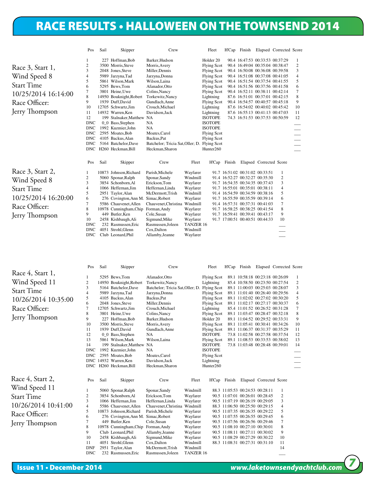#### RETAWNGENDI RACE RESULTS • HALLOWEEN ON THE TOWNSEND 2014

|                     | Pos                      | Sail | Skipper                               | Crew                                         |                  | Fleet                 | H'Cap  | Finish                          |                         | Elapsed Corrected Score |                |
|---------------------|--------------------------|------|---------------------------------------|----------------------------------------------|------------------|-----------------------|--------|---------------------------------|-------------------------|-------------------------|----------------|
|                     |                          |      | 227 Hoffman, Bob                      | Barker, Hudson                               |                  | Holder <sub>20</sub>  |        | 90.4 16:47:53 00:33:53 00:37:29 |                         |                         | 1              |
| Race 3, Start 1,    | 2                        |      | 3500 Morris, Steve                    | Morris, Avery                                |                  | Flying Scot           |        | 90.4 16:49:04 00:35:04 00:38:47 |                         |                         | $\overline{c}$ |
|                     | 3                        |      | 2048 Jones, Steve                     | Miller, Dennis                               |                  | <b>Flying Scot</b>    |        | 90.4 16:50:08 00:36:08 00:39:58 |                         |                         | 3              |
| Wind Speed 8        | 4                        |      | 5989 Jarzyna, Tad                     | Jarzyna, Donna                               |                  | <b>Flying Scot</b>    |        | 90.4 16:51:08 00:37:08 00:41:05 |                         |                         | 4              |
|                     | 5                        |      | 5861 Wilson.Mark                      | Wilson, Laina                                |                  | <b>Flying Scot</b>    |        | 90.4 16:51:54 00:37:54 00:41:55 |                         |                         | 5              |
| <b>Start Time</b>   | 6                        |      | 5295 Bews, Tom                        | Afanador, Otto                               |                  | <b>Flying Scot</b>    |        | 90.4 16:51:56 00:37:56 00:41:58 |                         |                         | 6              |
| 10/25/2014 16:14:00 |                          |      | 3801 Heine, Uwe                       | Colins, Nancy                                |                  | <b>Flying Scot</b>    |        | 90.4 16:52:11 00:38:11 00:42:14 |                         |                         | $\tau$         |
|                     | 8                        |      | 14950 Bouknight, Robert               | Torkewitz, Nancy                             |                  | Lightning             |        | 87.6 16:51:01 00:37:01 00:42:15 |                         |                         | 8              |
| Race Officer:       | 9                        |      | 1939 Duff,David                       | Gundlach, Anne                               |                  | <b>Flying Scot</b>    |        | 90.4 16:54:57 00:40:57 00:45:18 |                         |                         | 9              |
|                     | 10                       |      | 12705 Schwartz, Jim                   | Crouch, Michael                              |                  | Lightning             |        | 87.6 16:54:02 00:40:02 00:45:42 |                         |                         | 10             |
| Jerry Thompson      | 11                       |      | 14932 Warren, Ken                     | Davidson, Jack                               |                  | Lightning             |        | 87.6 16:55:13 00:41:13 00:47:03 |                         |                         | 11             |
|                     | 12                       |      | 199 Stalnaker, Matthew NA             |                                              |                  | <b>ISOTOPE</b>        |        | 74.3 16:51:53 00:37:53 00:50:59 |                         |                         | 12             |
|                     | <b>DNC</b>               |      | 0_0 Bass,Stephen                      | <b>NA</b>                                    |                  | <b>ISOTOPE</b>        |        |                                 |                         |                         |                |
|                     | <b>DNC</b><br><b>DNC</b> |      | 1992 Kuzmier, John                    | <b>NA</b>                                    |                  | <b>ISOTOPE</b>        |        |                                 |                         |                         | ---            |
|                     | <b>DNC</b>               |      | 2595 Moates, Bob<br>4105 Backus, Alan | Moates, Carol<br>Backus, Pat                 |                  | <b>Flying Scot</b>    |        |                                 |                         |                         |                |
|                     | <b>DNC</b>               |      | 5164 Batchelor, Dave                  | Batchelor; Tricia Sat, Oller; D. Flying Scot |                  | <b>Flying Scot</b>    |        |                                 |                         |                         |                |
|                     |                          |      | DNC H260 Heckman, Bill                | Heckman, Sharon                              |                  | Hunter <sub>260</sub> |        |                                 |                         |                         | ---            |
|                     |                          |      |                                       |                                              |                  |                       |        |                                 |                         |                         |                |
|                     | Pos                      | Sail | Skipper                               | Crew                                         | Fleet            | <b>H'Cap</b>          | Finish |                                 | Elapsed Corrected Score |                         |                |
| Race 3, Start 2,    |                          |      | 10873 Johnson, Richard                | Parish, Michele                              | Wayfarer         |                       |        | 91.7 16:51:02 00:31:02 00:33:51 |                         | 1                       |                |
| Wind Speed 8        | 2                        | 5060 | Sponar, Ralph                         | Sponar, Sandy                                | Windmill         |                       |        | 91.4 16:52:27 00:32:27 00:35:30 |                         | 2                       |                |
|                     | 3                        |      | 3854 Schonborn, Al                    | Erickson, Tom                                | Wayfarer         |                       |        | 91.7 16:54:35 00:34:35 00:37:43 |                         | 3                       |                |
| <b>Start Time</b>   | 4                        |      | 1066 Heffernan, Jim                   | Heffernan, Linda                             | Wayfarer         |                       |        | 91.7 16:55:01 00:35:01 00:38:11 |                         | 4                       |                |
|                     | 5                        |      | 2951 Taylor, Alan                     | McDermott, Trish                             | Windmill         |                       |        | 91.4 16:54:59 00:34:59 00:38:16 |                         | 5                       |                |
| 10/25/2014 16:20:00 | 6                        |      | 276 Covington, Ann M. Simac, Robert   |                                              | Wayfarer         |                       |        | 91.7 16:55:59 00:35:59 00:39:14 |                         | 6                       |                |
| Race Officer:       | 7                        |      | 5586 Chauvenet.Allen                  | Chauvenet, Christina                         | Windmill         |                       |        | 91.4 16:57:31 00:37:31 00:41:03 |                         | 7                       |                |
|                     | 8                        |      | 10978 Cunningham, Chip                | Forman, Andy                                 | Wayfarer         |                       |        | 91.7 16:58:25 00:38:25 00:41:54 |                         | 8                       |                |
| Jerry Thompson      | 9                        |      | 449 Butler, Ken                       | Cole, Susan                                  | Wayfarer         |                       |        | 91.7 16:59:41 00:39:41 00:43:17 |                         | 9                       |                |
|                     | 10                       |      | 2458 Kishbaugh, Ali                   | Sigmund, Mike                                | Wayfarer         |                       |        | 91.7 17:00:51 00:40:51 00:44:33 |                         | 10                      |                |
|                     | <b>DNC</b>               |      | 232 Rasmussen, Eric                   | Rasmussen, Joleen                            | <b>TANZER 16</b> |                       |        |                                 |                         |                         |                |
|                     | <b>DNC</b>               |      | 4051 Strohl, Glenn                    | Cox, Dalton                                  | Windmill         |                       |        |                                 |                         |                         |                |
|                     | <b>DNC</b>               |      | Club Leonard.Phil                     | Allamby, Jeanne                              | Wayfarer         |                       |        |                                 |                         |                         |                |

|                     | Pos            | Sail | Skipper                             | Crew                                         |           | Fleet                                      | H'Cap  |                                                                    |                         | Finish Elapsed Corrected Score |        |
|---------------------|----------------|------|-------------------------------------|----------------------------------------------|-----------|--------------------------------------------|--------|--------------------------------------------------------------------|-------------------------|--------------------------------|--------|
| Race 4, Start 1,    |                |      |                                     |                                              |           |                                            |        |                                                                    |                         |                                |        |
|                     |                |      | 5295 Bews, Tom                      | Afanador.Otto                                |           | <b>Flying Scot</b>                         |        | 89.1 10:58:18 00:23:18 00:26:09                                    |                         |                                | 1      |
| Wind Speed 11       | $\overline{c}$ |      | 14950 Bouknight, Robert             | Torkewitz, Nancy                             |           | Lightning                                  |        | 85.4 10:58:50 00:23:50 00:27:54                                    |                         |                                | 2      |
| <b>Start Time</b>   | 3              |      | 5164 Batchelor, Dave                | Batchelor; Tricia Sat, Oller; D. Flying Scot |           |                                            |        | 89.1 11:00:03 00:25:03 00:28:07                                    |                         |                                | 3      |
|                     | 4              |      | 5989 Jarzyna, Tad                   | Jarzyna, Donna                               |           | <b>Flying Scot</b>                         |        | 89.1 11:01:40 00:26:40 00:29:56                                    |                         |                                | 4      |
| 10/26/2014 10:35:00 | 5              |      | 4105 Backus, Alan                   | Backus, Pat                                  |           | <b>Flying Scot</b>                         |        | 89.1 11:02:02 00:27:02 00:30:20                                    |                         |                                | 5      |
| Race Officer:       | 6<br>7         |      | 2048 Jones, Steve                   | Miller, Dennis<br>Crouch, Michael            |           | <b>Flying Scot</b>                         |        | 89.1 11:02:17 00:27:17 00:30:37<br>85.4 11:01:52 00:26:52 00:31:28 |                         |                                | 6<br>7 |
|                     | 8              |      | 12705 Schwartz, Jim                 |                                              |           | Lightning                                  |        | 89.1 11:03:47 00:28:47 00:32:18                                    |                         |                                |        |
| Jerry Thompson      | 9              |      | 3801 Heine, Uwe<br>227 Hoffman, Bob | Colins, Nancy<br>Barker, Hudson              |           | <b>Flying Scot</b><br>Holder <sub>20</sub> |        | 89.1 11:04:52 00:29:52 00:33:31                                    |                         |                                | 8<br>9 |
|                     | 10             |      | 3500 Morris, Steve                  | Morris, Avery                                |           | <b>Flying Scot</b>                         |        | 89.1 11:05:41 00:30:41 00:34:26                                    |                         |                                | 10     |
|                     | 11             |      | 1939 Duff.David                     | Gundlach, Anne                               |           | <b>Flying Scot</b>                         |        | 89.1 11:06:37 00:31:37 00:35:29                                    |                         |                                | 11     |
|                     | 12             |      | 0_0 Bass,Stephen                    | <b>NA</b>                                    |           | <b>ISOTOPE</b>                             |        | 73.8 11:02:58 00:27:58 00:37:54                                    |                         |                                | 12     |
|                     | 13             |      | 5861 Wilson, Mark                   | Wilson, Laina                                |           | <b>Flying Scot</b>                         |        | 89.1 11:08:53 00:33:53 00:38:02                                    |                         |                                | 13     |
|                     | 14             |      | 199 Stalnaker, Matthew NA           |                                              |           | <b>ISOTOPE</b>                             |        | 73.8 11:03:48 00:28:48 00:39:01                                    |                         |                                | 14     |
|                     | <b>DNC</b>     |      | 1992 Kuzmier, John                  | <b>NA</b>                                    |           | <b>ISOTOPE</b>                             |        |                                                                    |                         |                                |        |
|                     | <b>DNC</b>     |      | 2595 Moates, Bob                    | Moates, Carol                                |           | <b>Flying Scot</b>                         |        |                                                                    |                         |                                |        |
|                     |                |      | DNC 14932 Warren.Ken                | Davidson, Jack                               |           | Lightning                                  |        |                                                                    |                         |                                |        |
|                     |                |      | DNC H260 Heckman, Bill              | Heckman, Sharon                              |           | Hunter <sub>260</sub>                      |        |                                                                    |                         |                                |        |
|                     |                |      |                                     |                                              |           |                                            |        |                                                                    |                         |                                |        |
| Race 4, Start 2,    | Pos            | Sail | Skipper                             | Crew                                         | Fleet     | <b>H'Cap</b>                               | Finish |                                                                    | Elapsed Corrected Score |                                |        |
| Wind Speed 11       |                |      | 5060 Sponar, Ralph                  | Sponar, Sandy                                | Windmill  |                                            |        | 88.3 11:05:53 00:24:53 00:28:11                                    |                         |                                |        |
| <b>Start Time</b>   | 2              |      | 3854 Schonborn, Al                  | Erickson, Tom                                | Wayfarer  |                                            |        | 90.5 11:07:01 00:26:01 00:28:45                                    |                         | $\overline{c}$                 |        |
|                     | 3              |      | 1066 Heffernan.Jim                  | Heffernan.Linda                              | Wayfarer  |                                            |        | 90.5 11:07:19 00:26:19 00:29:05                                    |                         | 3                              |        |
| 10/26/2014 10:41:00 | 4              |      | 5586 Chauvenet.Allen                | Chauvenet, Christina                         | Windmill  |                                            |        | 88.3 11:06:50 00:25:50 00:29:15                                    |                         | 4                              |        |
|                     | 5              |      | 10873 Johnson, Richard              | Parish, Michele                              | Wayfarer  |                                            |        | 90.5 11:07:35 00:26:35 00:29:22                                    |                         | 5                              |        |
| Race Officer:       | 6              |      | 276 Covington, Ann M. Simac, Robert |                                              | Wayfarer  |                                            |        | 90.5 11:07:55 00:26:55 00:29:45                                    |                         | 6                              |        |
| Jerry Thompson      | 7              |      | 449 Butler, Ken                     | Cole, Susan                                  | Wayfarer  |                                            |        | 90.5 11:07:56 00:26:56 00:29:46                                    |                         | 7                              |        |
|                     | 8              |      | 10978 Cunningham, Chip              | Forman, Andy                                 | Wayfarer  |                                            |        | 90.5 11:08:10 00:27:10 00:30:01                                    |                         | 8                              |        |
|                     | 9              |      | Club Leonard, Phil                  | Allamby, Jeanne                              | Wayfarer  |                                            |        | 90.5 11:08:11 00:27:11 00:30:02                                    |                         | 9                              |        |
|                     | 10             |      | 2458 Kishbaugh, Ali                 | Sigmund, Mike                                | Wayfarer  |                                            |        | 90.5 11:08:29 00:27:29 00:30:22                                    |                         | 10                             |        |
|                     | 11             |      | 4051 Strohl, Glenn                  | Cox, Dalton                                  | Windmill  |                                            |        | 88.3 11:08:31 00:27:31 00:31:10                                    |                         | 11                             |        |
|                     | <b>DNF</b>     |      | 2951 Taylor, Alan                   | McDermott.Trish                              | Windmill  |                                            |        |                                                                    |                         | 14                             |        |
|                     | <b>DNC</b>     |      | 232 Rasmussen.Eric                  | Rasmussen, Joleen                            | TANZER 16 |                                            |        |                                                                    |                         |                                |        |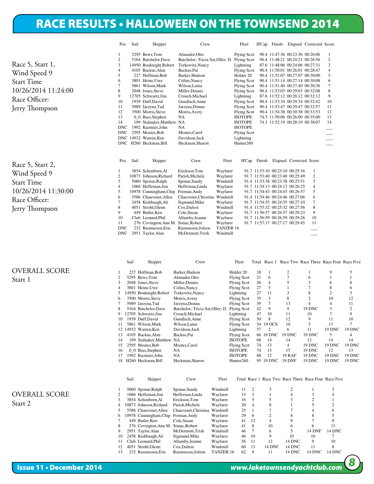#### Race Five: Division: Start 1: Wind Speed 9 RACE RESULTS • HALLOWEEN ON THE TOWNSEND 2014

Race 5, Start 1, Wind Speed 9 Start Time 10/26/2014 11:24:00 Race Officer: Jerry Thompson

| Race 5, Start 2,    |
|---------------------|
| Wind Speed 9        |
| <b>Start Time</b>   |
| 10/26/2014 11:30:00 |
| Race Officer:       |
| Jerry Thompson      |

| Pos              | Sail | Skipper                             | Crew                                         |                  | Fleet                 |              | H'Cap Finish                    |                         | Elapsed Corrected Score |                |
|------------------|------|-------------------------------------|----------------------------------------------|------------------|-----------------------|--------------|---------------------------------|-------------------------|-------------------------|----------------|
| 1                |      | 5295 Bews, Tom                      | Afanador.Otto                                |                  | <b>Flying Scot</b>    |              | 90.4 11:47:36 00:23:36 00:26:06 |                         |                         | 1              |
| 2                |      | 5164 Batchelor, Dave                | Batchelor; Tricia Sat, Oller; D. Flying Scot |                  |                       |              | 90.4 11:48:21 00:24:21 00:26:56 |                         |                         | $\overline{c}$ |
| 3                |      | 14950 Bouknight, Robert             | Torkewitz, Nancy                             |                  | Lightning             |              | 87.6 11:48:06 00:24:06 00:27:31 |                         |                         | 3              |
| 4                |      | 4105 Backus, Alan                   | Backus, Pat                                  |                  | <b>Flying Scot</b>    |              | 90.4 11:50:01 00:26:01 00:28:47 |                         |                         | $\overline{4}$ |
| 5                |      | 227 Hoffman, Bob                    | Barker, Hudson                               |                  | Holder 20             |              | 90.4 11:51:07 00:27:07 00:30:00 |                         |                         | 5              |
| 6                |      | 3801 Heine, Uwe                     | Colins, Nancy                                |                  | <b>Flying Scot</b>    |              | 90.4 11:51:14 00:27:14 00:30:08 |                         |                         | 6              |
| $\tau$           |      | 5861 Wilson, Mark                   | Wilson, Laina                                |                  | <b>Flying Scot</b>    |              | 90.4 11:51:40 00:27:40 00:30:36 |                         |                         | $\overline{7}$ |
| 8                |      | 2048 Jones.Steve                    | Miller.Dennis                                |                  | <b>Flying Scot</b>    |              | 90.4 11:53:03 00:29:03 00:32:08 |                         |                         | 8              |
| 9                |      | 12705 Schwartz.Jim                  | Crouch, Michael                              |                  | Lightning             |              | 87.6 11:52:12 00:28:12 00:32:12 |                         |                         | 9              |
| 10               |      | 1939 Duff,David                     | Gundlach, Anne                               |                  | <b>Flying Scot</b>    |              | 90.4 11:53:34 00:29:34 00:32:42 |                         |                         | 10             |
| 11               |      | 5989 Jarzyna, Tad                   | Jarzyna, Donna                               |                  | <b>Flying Scot</b>    |              | 90.4 11:53:47 00:29:47 00:32:57 |                         |                         | 11             |
| 12               |      | 3500 Morris, Steve                  | Morris, Avery                                |                  | <b>Flying Scot</b>    |              | 90.4 11:54:38 00:30:38 00:33:53 |                         |                         | 12             |
| 13               |      | 0_0 Bass,Stephen                    | <b>NA</b>                                    |                  | <b>ISOTOPE</b>        |              | 74.3 11:50:00 00:26:00 00:35:00 |                         |                         | 13             |
| 14               |      | 199 Stalnaker, Matthew NA           |                                              |                  | <b>ISOTOPE</b>        |              | 74.3 11:52:19 00:28:19 00:38:07 |                         |                         | 14             |
| <b>DNC</b>       |      | 1992 Kuzmier, John                  | <b>NA</b>                                    |                  | <b>ISOTOPE</b>        |              |                                 |                         |                         |                |
| <b>DNC</b>       |      | 2595 Moates, Bob                    | Moates, Carol                                |                  | <b>Flying Scot</b>    |              |                                 |                         |                         |                |
|                  |      |                                     |                                              |                  |                       |              |                                 |                         |                         |                |
|                  |      | DNC 14932 Warren, Ken               | Davidson, Jack                               |                  | Lightning             |              |                                 |                         |                         |                |
|                  |      | DNC H260 Heckman, Bill              | Heckman, Sharon                              |                  | Hunter <sub>260</sub> |              |                                 |                         |                         |                |
| Pos              | Sail | Skipper                             | Crew                                         | Fleet            |                       | H'Cap Finish |                                 | Elapsed Corrected Score |                         |                |
| 1                |      | 3854 Schonborn, Al                  | Erickson, Tom                                | Wayfarer         |                       |              | 91.7 11:53:10 00:23:10 00:25:16 |                         | 1                       |                |
| 2                |      | 10873 Johnson.Richard               | Parish, Michele                              | Wayfarer         |                       |              | 91.7 11:53:40 00:23:40 00:25:49 |                         | $\overline{c}$          |                |
| 3                |      | 5060 Sponar, Ralph                  | Sponar, Sandy                                | Windmill         |                       |              | 91.4 11:53:38 00:23:38 00:25:51 |                         | 3                       |                |
| 4                |      | 1066 Heffernan.Jim                  | Heffernan.Linda                              | Wayfarer         |                       |              | 91.7 11:54:13 00:24:13 00:26:25 |                         | $\overline{4}$          |                |
| 5                |      | 10978 Cunningham, Chip              | Forman, Andy                                 | Wayfarer         |                       |              | 91.7 11:54:43 00:24:43 00:26:57 |                         | 5                       |                |
| 6                |      | 5586 Chauvenet.Allen                | Chauvenet, Christina                         | Windmill         |                       |              | 91.4 11:54:46 00:24:46 00:27:06 |                         | 6                       |                |
| 7                |      | 2458 Kishbaugh, Ali                 | Sigmund, Mike                                | Wayfarer         |                       |              | 91.7 11:54:55 00:24:55 00:27:10 |                         | 7                       |                |
| 8                |      | 4051 Strohl, Glenn                  | Cox, Dalton                                  | Windmill         |                       |              | 91.4 11:55:32 00:25:32 00:27:56 |                         | 8                       |                |
| 9                |      | 449 Butler, Ken                     | Cole, Susan                                  | Wayfarer         |                       |              | 91.7 11:56:57 00:26:57 00:29:23 |                         | 9                       |                |
| 10               |      | Club Leonard.Phil                   | Allamby, Jeanne                              | Wayfarer         |                       |              | 91.7 11:56:59 00:26:59 00:29:26 |                         | 10                      |                |
|                  |      | 276 Covington, Ann M. Simac, Robert |                                              | Wayfarer         |                       |              | 91.7 11:57:17 00:27:17 00:29:45 |                         | 11                      |                |
| 11<br><b>DNC</b> |      | 232 Rasmussen, Eric                 | Rasmussen, Joleen                            | <b>TANZER 16</b> |                       |              |                                 |                         |                         |                |

|                      |                | Sail | Skipper                 | Crew                             |                  | Fleet                |    |                |               | Total Race 1 Race Two Race Three Race Four Race Five |                |                |
|----------------------|----------------|------|-------------------------|----------------------------------|------------------|----------------------|----|----------------|---------------|------------------------------------------------------|----------------|----------------|
| <b>OVERALL SCORE</b> |                |      | 227 Hoffman, Bob        | Barker, Hudson                   |                  | Holder <sub>20</sub> | 18 | -1             | 2             |                                                      | 9              | 5              |
|                      | $\overline{c}$ |      | 5295 Bews, Tom          | Afanador, Otto                   |                  | <b>Flying Scot</b>   | 21 | 6              | 7             | 6                                                    |                |                |
| Start 1              | $\mathbf{3}$   |      | 2048 Jones, Steve       | Miller, Dennis                   |                  | <b>Flying Scot</b>   | 26 | 4              | 5             | 3                                                    | 6              | 8              |
|                      |                |      | 3801 Heine, Uwe         | Colins, Nancy                    |                  | <b>Flying Scot</b>   | 27 | 5              |               |                                                      | 8              | 6              |
|                      |                |      | 14950 Bouknight, Robert | Torkewitz, Nancy                 |                  | Lightning            | 27 | 11             |               | 8                                                    | $\mathfrak{2}$ | 3              |
|                      |                |      | 3500 Morris, Steve      | Morris, Avery                    |                  | <b>Flying Scot</b>   | 35 | 3              | 8             |                                                      | 10             | 12             |
|                      |                |      | 5989 Jarzyna, Tad       | Jarzyna, Donna                   |                  | <b>Flying Scot</b>   | 39 |                | 13            | 4                                                    | $\overline{4}$ | 11             |
|                      |                |      | 5164 Batchelor, Dave    | Batchelor; Tricia Sat, Oller; D. |                  | <b>Flying Scot</b>   | 42 | 9              | 9             | <b>19 DNC</b>                                        | 3              | $\overline{2}$ |
|                      |                |      | 12705 Schwartz, Jim     | Crouch, Michael                  |                  | Lightning            | 47 | 10             | 11            | 10                                                   | 7              | 9              |
|                      | 10             |      | 1939 Duff, David        | Gundlach, Anne                   |                  | <b>Flying Scot</b>   | 50 | 8              | 12            |                                                      | 11             | 10             |
|                      |                |      | 5861 Wilson, Mark       | Wilson, Laina                    |                  | <b>Flying Scot</b>   |    | 54 19 OCS      | 10            |                                                      | 13             | 7              |
|                      | 12             |      | 14932 Warren, Ken       | Davidson, Jack                   |                  | Lightning            | 57 | 2              | 6             | 11                                                   | <b>19 DNC</b>  | 19 DNC         |
|                      | 13             |      | 4105 Backus, Alan       | Backus, Pat                      |                  | <b>Flying Scot</b>   |    | 66 19 DNC      | <b>19 DNC</b> | 19 DNC                                               | 5              | 4              |
|                      | 14             |      | 199 Stalnaker, Matthew  | NA                               |                  | <b>ISOTOPE</b>       | 68 | 14             | 14            | 12                                                   | 14             | 14             |
|                      | 15             |      | 2595 Moates, Bob        | Moates, Carol                    |                  | <b>Flying Scot</b>   | 74 | 13             | 4             | <b>19 DNC</b>                                        | <b>19 DNC</b>  | 19 DNC         |
|                      | 16             |      | 0_0 Bass,Stephen        | <b>NA</b>                        |                  | <b>ISOTOPE</b>       | 74 | 15             | 15            | <b>19 DNC</b>                                        | 12             | 13             |
|                      | 17             |      | 1992 Kuzmier, John      | <b>NA</b>                        |                  | <b>ISOTOPE</b>       | 88 | 12             | <b>19 RAF</b> | <b>19 DNC</b>                                        | <b>19 DNC</b>  | <b>19 DNC</b>  |
|                      | 18             |      | H260 Heckman, Bill      | Heckman, Sharon                  |                  | Hunter260            |    | 95 19 DNC      | <b>19 DNF</b> | <b>19 DNC</b>                                        | <b>19 DNC</b>  | <b>19 DNC</b>  |
|                      |                | Sail | Skipper                 | Crew                             | Fleet            |                      |    |                |               | Total Race 1 Race Two Race Three Race Four Race Five |                |                |
|                      |                |      | 5060 Sponar, Ralph      | Sponar, Sandy                    | Windmill         | 11                   | 2  | 3              | 2             |                                                      | 3              |                |
| <b>OVERALL SCORE</b> |                |      | 1066 Heffernan, Jim     | Heffernan, Linda                 | Wayfarer         | 15                   | 3  |                | 4             | 3                                                    |                |                |
|                      | $\mathbf{3}$   |      | 3854 Schonborn, Al      | Erickson,Tom                     | Wayfarer         | 16                   | 5  | 5              | 3             | $\overline{2}$                                       |                |                |
| Start 2              |                |      | 10873 Johnson.Richard   | Parish, Michele                  | Wayfarer         | 20                   | 4  | 8              |               | 5                                                    | $\overline{c}$ |                |
|                      |                |      | 5586 Chauvenet, Allen   | Chauvenet, Christina             | Windmill         | 25                   |    |                |               | $\overline{4}$                                       | 6              |                |
|                      | 6              |      | 10978 Cunningham, Chip  | Forman, Andy                     | Wayfarer         | 29                   | 6  | 2              | 8             | 8                                                    | 5              |                |
|                      |                |      | 449 Butler, Ken         | Cole, Susan                      | Wayfarer         | 41                   | 12 | $\overline{4}$ | 9             | $\overline{7}$                                       | 9              |                |
|                      | 8              |      | 276 Covington, Ann M.   | Simac, Robert                    | Wayfarer         | 41                   | 8  | 10             | 6             | 6                                                    | 11             |                |
|                      | 9              |      | 2951 Taylor, Alan       | McDermott, Trish                 | Windmill         | 46                   | 7  | 6              | 5             | 14 DNF                                               | 14 DNC         |                |
|                      | 10             |      | 2458 Kishbaugh, Ali     | Sigmund, Mike                    | Wayfarer         | 46                   | 10 | 9              | 10            | 10                                                   |                |                |
|                      | 11             |      | Club Leonard, Phil      | Allamby, Jeanne                  | Wayfarer         | 56                   | 11 | 12             | <b>14 DNC</b> | 9                                                    | 10             |                |
|                      | 12             |      | 4051 Strohl, Glenn      | Cox, Dalton                      | Windmill         | 60                   | 13 | 14 DNF         | <b>14 DNC</b> | 11                                                   | 8              |                |
|                      | 13             |      | 232 Rasmussen.Eric      | Rasmussen.Joleen                 | <b>TANZER 16</b> | 62                   | 9  | 11             | <b>14 DNC</b> | <b>14 DNC</b>                                        | <b>14 DNC</b>  |                |

Class: Open Portsmouth. Portsmouth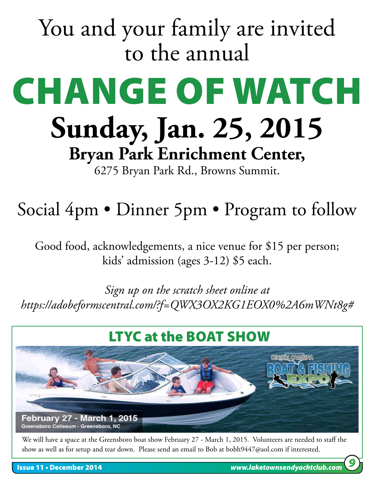# You and your family are invited to the annual

# CHANGE OF WATCH **Sunday, Jan. 25, 2015 Bryan Park Enrichment Center,**

6275 Bryan Park Rd., Browns Summit.

# Social 4pm • Dinner 5pm • Program to follow

Good food, acknowledgements, a nice venue for \$15 per person; kids' admission (ages 3-12) \$5 each.

*Sign up on the scratch sheet online at https://adobeformscentral.com/?f=QWX3OX2KG1EOX0%2A6mWNt8g#*



We will have a space at the Greensboro boat show February 27 - March 1, 2015. Volunteers are needed to staff the show as well as for setup and tear down. Please send an email to Bob at bobh9447@aol.com if interested.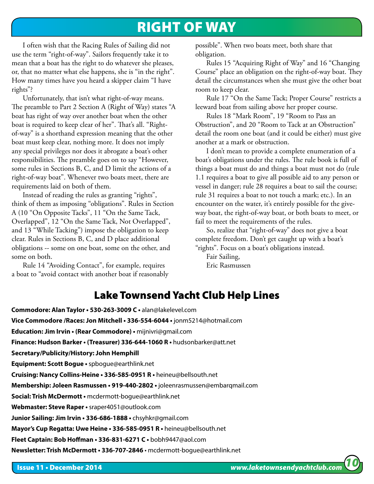#### RIGHT OF WAY

I often wish that the Racing Rules of Sailing did not use the term "right-of-way". Sailors frequently take it to mean that a boat has the right to do whatever she pleases, or, that no matter what else happens, she is "in the right". How many times have you heard a skipper claim "I have rights"?

Unfortunately, that isn't what right-of-way means. The preamble to Part 2 Section A (Right of Way) states "A boat has right of way over another boat when the other boat is required to keep clear of her". That's all. "Rightof-way" is a shorthand expression meaning that the other boat must keep clear, nothing more. It does not imply any special privileges nor does it abrogate a boat's other responsibilities. The preamble goes on to say "However, some rules in Sections B, C, and D limit the actions of a right-of-way boat". Whenever two boats meet, there are requirements laid on both of them.

Instead of reading the rules as granting "rights", think of them as imposing "obligations". Rules in Section A (10 "On Opposite Tacks", 11 "On the Same Tack, Overlapped", 12 "On the Same Tack, Not Overlapped", and 13 "While Tacking") impose the obligation to keep clear. Rules in Sections B, C, and D place additional obligations -- some on one boat, some on the other, and some on both.

Rule 14 "Avoiding Contact", for example, requires a boat to "avoid contact with another boat if reasonably possible". When two boats meet, both share that obligation.

Rules 15 "Acquiring Right of Way" and 16 "Changing Course" place an obligation on the right-of-way boat. They detail the circumstances when she must give the other boat room to keep clear.

Rule 17 "On the Same Tack; Proper Course" restricts a leeward boat from sailing above her proper course.

Rules 18 "Mark Room", 19 "Room to Pass an Obstruction", and 20 "Room to Tack at an Obstruction" detail the room one boat (and it could be either) must give another at a mark or obstruction.

I don't mean to provide a complete enumeration of a boat's obligations under the rules. The rule book is full of things a boat must do and things a boat must not do (rule 1.1 requires a boat to give all possible aid to any person or vessel in danger; rule 28 requires a boat to sail the course; rule 31 requires a boat to not touch a mark; etc.). In an encounter on the water, it's entirely possible for the giveway boat, the right-of-way boat, or both boats to meet, or fail to meet the requirements of the rules.

So, realize that "right-of-way" does not give a boat complete freedom. Don't get caught up with a boat's "rights". Focus on a boat's obligations instead.

Fair Sailing, Eric Rasmussen

#### Lake Townsend Yacht Club Help Lines

l